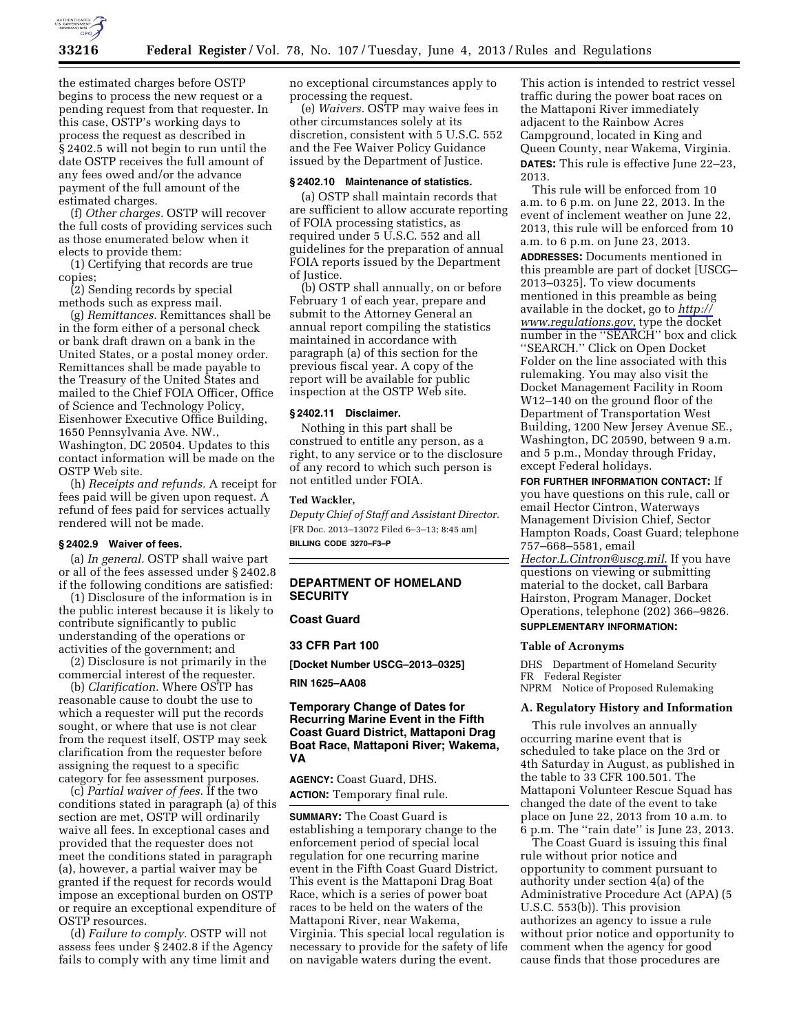

the estimated charges before OSTP begins to process the new request or a pending request from that requester. In this case, OSTP's working days to process the request as described in § 2402.5 will not begin to run until the date OSTP receives the full amount of any fees owed and/or the advance payment of the full amount of the estimated charges.

(f) *Other charges.* OSTP will recover the full costs of providing services such as those enumerated below when it elects to provide them:

(1) Certifying that records are true copies;

(2) Sending records by special methods such as express mail.

(g) *Remittances.* Remittances shall be in the form either of a personal check or bank draft drawn on a bank in the United States, or a postal money order. Remittances shall be made payable to the Treasury of the United States and mailed to the Chief FOIA Officer, Office of Science and Technology Policy, Eisenhower Executive Office Building, 1650 Pennsylvania Ave. NW., Washington, DC 20504. Updates to this contact information will be made on the OSTP Web site.

(h) *Receipts and refunds.* A receipt for fees paid will be given upon request. A refund of fees paid for services actually rendered will not be made.

### **§ 2402.9 Waiver of fees.**

(a) *In general.* OSTP shall waive part or all of the fees assessed under § 2402.8 if the following conditions are satisfied:

(1) Disclosure of the information is in the public interest because it is likely to contribute significantly to public understanding of the operations or activities of the government; and

(2) Disclosure is not primarily in the commercial interest of the requester.

(b) *Clarification.* Where OSTP has reasonable cause to doubt the use to which a requester will put the records sought, or where that use is not clear from the request itself, OSTP may seek clarification from the requester before assigning the request to a specific category for fee assessment purposes.

(c) *Partial waiver of fees.* If the two conditions stated in paragraph (a) of this section are met, OSTP will ordinarily waive all fees. In exceptional cases and provided that the requester does not meet the conditions stated in paragraph (a), however, a partial waiver may be granted if the request for records would impose an exceptional burden on OSTP or require an exceptional expenditure of OSTP resources.

(d) *Failure to comply.* OSTP will not assess fees under § 2402.8 if the Agency fails to comply with any time limit and

no exceptional circumstances apply to processing the request.

(e) *Waivers.* OSTP may waive fees in other circumstances solely at its discretion, consistent with 5 U.S.C. 552 and the Fee Waiver Policy Guidance issued by the Department of Justice.

#### **§ 2402.10 Maintenance of statistics.**

(a) OSTP shall maintain records that are sufficient to allow accurate reporting of FOIA processing statistics, as required under 5 U.S.C. 552 and all guidelines for the preparation of annual FOIA reports issued by the Department of Justice.

(b) OSTP shall annually, on or before February 1 of each year, prepare and submit to the Attorney General an annual report compiling the statistics maintained in accordance with paragraph (a) of this section for the previous fiscal year. A copy of the report will be available for public inspection at the OSTP Web site.

#### **§ 2402.11 Disclaimer.**

Nothing in this part shall be construed to entitle any person, as a right, to any service or to the disclosure of any record to which such person is not entitled under FOIA.

#### **Ted Wackler,**

*Deputy Chief of Staff and Assistant Director.*  [FR Doc. 2013–13072 Filed 6–3–13; 8:45 am] **BILLING CODE 3270–F3–P** 

### **DEPARTMENT OF HOMELAND SECURITY**

### **Coast Guard**

### **33 CFR Part 100**

**[Docket Number USCG–2013–0325]** 

#### **RIN 1625–AA08**

### **Temporary Change of Dates for Recurring Marine Event in the Fifth Coast Guard District, Mattaponi Drag Boat Race, Mattaponi River; Wakema, VA**

**AGENCY:** Coast Guard, DHS. **ACTION:** Temporary final rule.

**SUMMARY:** The Coast Guard is establishing a temporary change to the enforcement period of special local regulation for one recurring marine event in the Fifth Coast Guard District. This event is the Mattaponi Drag Boat Race, which is a series of power boat races to be held on the waters of the Mattaponi River, near Wakema, Virginia. This special local regulation is necessary to provide for the safety of life on navigable waters during the event.

This action is intended to restrict vessel traffic during the power boat races on the Mattaponi River immediately adjacent to the Rainbow Acres Campground, located in King and Queen County, near Wakema, Virginia. **DATES:** This rule is effective June 22–23, 2013.

This rule will be enforced from 10 a.m. to 6 p.m. on June 22, 2013. In the event of inclement weather on June 22, 2013, this rule will be enforced from 10 a.m. to 6 p.m. on June 23, 2013.

**ADDRESSES:** Documents mentioned in this preamble are part of docket [USCG– 2013–0325]. To view documents mentioned in this preamble as being available in the docket, go to *[http://](http://www.regulations.gov) [www.regulations.gov](http://www.regulations.gov)*, type the docket number in the ''SEARCH'' box and click ''SEARCH.'' Click on Open Docket Folder on the line associated with this rulemaking. You may also visit the Docket Management Facility in Room W12–140 on the ground floor of the Department of Transportation West Building, 1200 New Jersey Avenue SE., Washington, DC 20590, between 9 a.m. and 5 p.m., Monday through Friday, except Federal holidays.

**FOR FURTHER INFORMATION CONTACT:** If you have questions on this rule, call or email Hector Cintron, Waterways Management Division Chief, Sector Hampton Roads, Coast Guard; telephone 757–668–5581, email *[Hector.L.Cintron@uscg.mil](mailto:Hector.L.Cintron@uscg.mil)*. If you have questions on viewing or submitting material to the docket, call Barbara Hairston, Program Manager, Docket Operations, telephone (202) 366–9826. **SUPPLEMENTARY INFORMATION:** 

# **Table of Acronyms**

DHS Department of Homeland Security FR Federal Register NPRM Notice of Proposed Rulemaking

#### **A. Regulatory History and Information**

This rule involves an annually occurring marine event that is scheduled to take place on the 3rd or 4th Saturday in August, as published in the table to 33 CFR 100.501. The Mattaponi Volunteer Rescue Squad has changed the date of the event to take place on June 22, 2013 from 10 a.m. to 6 p.m. The ''rain date'' is June 23, 2013.

The Coast Guard is issuing this final rule without prior notice and opportunity to comment pursuant to authority under section 4(a) of the Administrative Procedure Act (APA) (5 U.S.C. 553(b)). This provision authorizes an agency to issue a rule without prior notice and opportunity to comment when the agency for good cause finds that those procedures are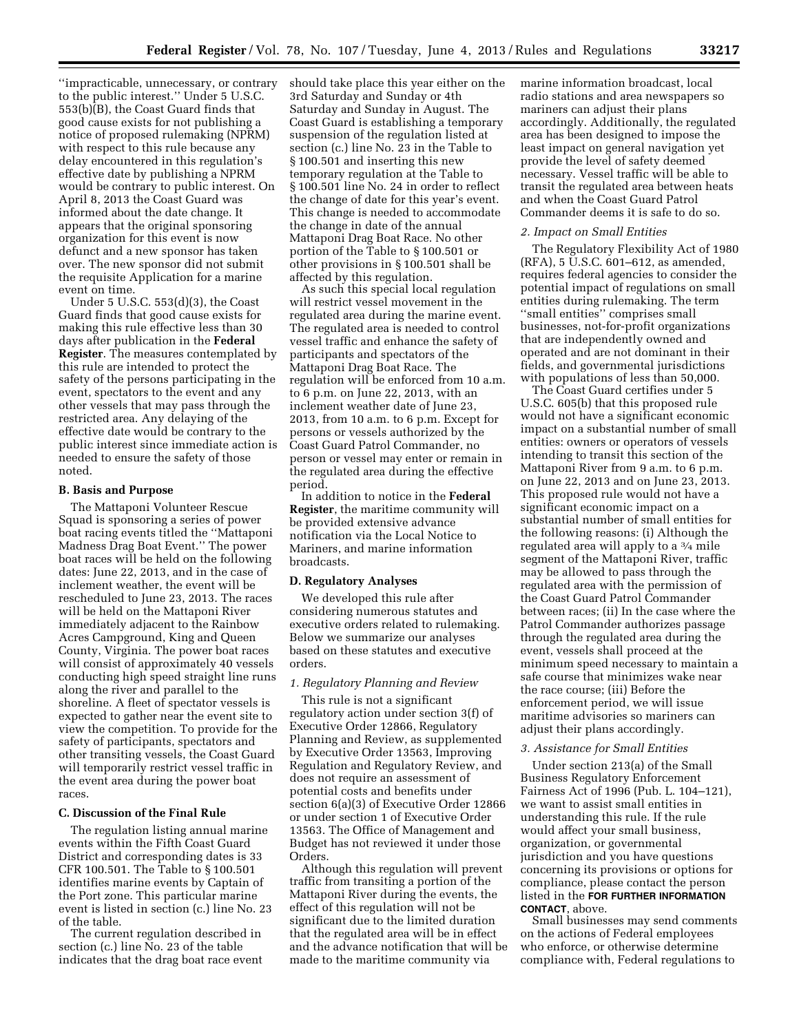''impracticable, unnecessary, or contrary to the public interest.'' Under 5 U.S.C. 553(b)(B), the Coast Guard finds that good cause exists for not publishing a notice of proposed rulemaking (NPRM) with respect to this rule because any delay encountered in this regulation's effective date by publishing a NPRM would be contrary to public interest. On April 8, 2013 the Coast Guard was informed about the date change. It appears that the original sponsoring organization for this event is now defunct and a new sponsor has taken over. The new sponsor did not submit the requisite Application for a marine event on time.

Under 5 U.S.C. 553(d)(3), the Coast Guard finds that good cause exists for making this rule effective less than 30 days after publication in the **Federal Register**. The measures contemplated by this rule are intended to protect the safety of the persons participating in the event, spectators to the event and any other vessels that may pass through the restricted area. Any delaying of the effective date would be contrary to the public interest since immediate action is needed to ensure the safety of those noted.

#### **B. Basis and Purpose**

The Mattaponi Volunteer Rescue Squad is sponsoring a series of power boat racing events titled the ''Mattaponi Madness Drag Boat Event.'' The power boat races will be held on the following dates: June 22, 2013, and in the case of inclement weather, the event will be rescheduled to June 23, 2013. The races will be held on the Mattaponi River immediately adjacent to the Rainbow Acres Campground, King and Queen County, Virginia. The power boat races will consist of approximately 40 vessels conducting high speed straight line runs along the river and parallel to the shoreline. A fleet of spectator vessels is expected to gather near the event site to view the competition. To provide for the safety of participants, spectators and other transiting vessels, the Coast Guard will temporarily restrict vessel traffic in the event area during the power boat races.

### **C. Discussion of the Final Rule**

The regulation listing annual marine events within the Fifth Coast Guard District and corresponding dates is 33 CFR 100.501. The Table to § 100.501 identifies marine events by Captain of the Port zone. This particular marine event is listed in section (c.) line No. 23 of the table.

The current regulation described in section (c.) line No. 23 of the table indicates that the drag boat race event should take place this year either on the 3rd Saturday and Sunday or 4th Saturday and Sunday in August. The Coast Guard is establishing a temporary suspension of the regulation listed at section (c.) line No. 23 in the Table to § 100.501 and inserting this new temporary regulation at the Table to § 100.501 line No. 24 in order to reflect the change of date for this year's event. This change is needed to accommodate the change in date of the annual Mattaponi Drag Boat Race. No other portion of the Table to § 100.501 or other provisions in § 100.501 shall be affected by this regulation.

As such this special local regulation will restrict vessel movement in the regulated area during the marine event. The regulated area is needed to control vessel traffic and enhance the safety of participants and spectators of the Mattaponi Drag Boat Race. The regulation will be enforced from 10 a.m. to 6 p.m. on June 22, 2013, with an inclement weather date of June 23, 2013, from 10 a.m. to 6 p.m. Except for persons or vessels authorized by the Coast Guard Patrol Commander, no person or vessel may enter or remain in the regulated area during the effective period.

In addition to notice in the **Federal Register**, the maritime community will be provided extensive advance notification via the Local Notice to Mariners, and marine information broadcasts.

### **D. Regulatory Analyses**

We developed this rule after considering numerous statutes and executive orders related to rulemaking. Below we summarize our analyses based on these statutes and executive orders.

### *1. Regulatory Planning and Review*

This rule is not a significant regulatory action under section 3(f) of Executive Order 12866, Regulatory Planning and Review, as supplemented by Executive Order 13563, Improving Regulation and Regulatory Review, and does not require an assessment of potential costs and benefits under section 6(a)(3) of Executive Order 12866 or under section 1 of Executive Order 13563. The Office of Management and Budget has not reviewed it under those Orders.

Although this regulation will prevent traffic from transiting a portion of the Mattaponi River during the events, the effect of this regulation will not be significant due to the limited duration that the regulated area will be in effect and the advance notification that will be made to the maritime community via

marine information broadcast, local radio stations and area newspapers so mariners can adjust their plans accordingly. Additionally, the regulated area has been designed to impose the least impact on general navigation yet provide the level of safety deemed necessary. Vessel traffic will be able to transit the regulated area between heats and when the Coast Guard Patrol Commander deems it is safe to do so.

#### *2. Impact on Small Entities*

The Regulatory Flexibility Act of 1980 (RFA), 5 U.S.C. 601–612, as amended, requires federal agencies to consider the potential impact of regulations on small entities during rulemaking. The term ''small entities'' comprises small businesses, not-for-profit organizations that are independently owned and operated and are not dominant in their fields, and governmental jurisdictions with populations of less than 50,000.

The Coast Guard certifies under 5 U.S.C. 605(b) that this proposed rule would not have a significant economic impact on a substantial number of small entities: owners or operators of vessels intending to transit this section of the Mattaponi River from 9 a.m. to 6 p.m. on June 22, 2013 and on June 23, 2013. This proposed rule would not have a significant economic impact on a substantial number of small entities for the following reasons: (i) Although the regulated area will apply to a 3⁄4 mile segment of the Mattaponi River, traffic may be allowed to pass through the regulated area with the permission of the Coast Guard Patrol Commander between races; (ii) In the case where the Patrol Commander authorizes passage through the regulated area during the event, vessels shall proceed at the minimum speed necessary to maintain a safe course that minimizes wake near the race course; (iii) Before the enforcement period, we will issue maritime advisories so mariners can adjust their plans accordingly.

### *3. Assistance for Small Entities*

Under section 213(a) of the Small Business Regulatory Enforcement Fairness Act of 1996 (Pub. L. 104–121), we want to assist small entities in understanding this rule. If the rule would affect your small business, organization, or governmental jurisdiction and you have questions concerning its provisions or options for compliance, please contact the person listed in the **FOR FURTHER INFORMATION CONTACT**, above.

Small businesses may send comments on the actions of Federal employees who enforce, or otherwise determine compliance with, Federal regulations to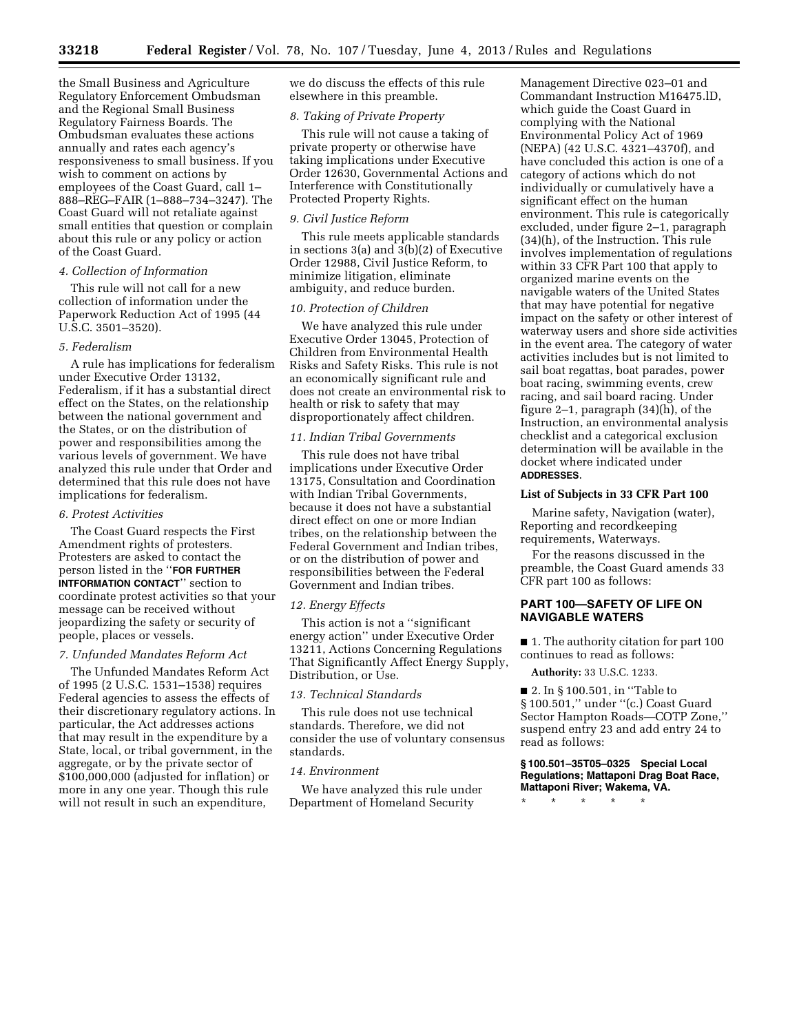the Small Business and Agriculture Regulatory Enforcement Ombudsman and the Regional Small Business Regulatory Fairness Boards. The Ombudsman evaluates these actions annually and rates each agency's responsiveness to small business. If you wish to comment on actions by employees of the Coast Guard, call 1– 888–REG–FAIR (1–888–734–3247). The Coast Guard will not retaliate against small entities that question or complain about this rule or any policy or action of the Coast Guard.

### *4. Collection of Information*

This rule will not call for a new collection of information under the Paperwork Reduction Act of 1995 (44 U.S.C. 3501–3520).

#### *5. Federalism*

A rule has implications for federalism under Executive Order 13132, Federalism, if it has a substantial direct effect on the States, on the relationship between the national government and the States, or on the distribution of power and responsibilities among the various levels of government. We have analyzed this rule under that Order and determined that this rule does not have implications for federalism.

#### *6. Protest Activities*

The Coast Guard respects the First Amendment rights of protesters. Protesters are asked to contact the person listed in the ''**FOR FURTHER INTFORMATION CONTACT**'' section to coordinate protest activities so that your message can be received without jeopardizing the safety or security of people, places or vessels.

### *7. Unfunded Mandates Reform Act*

The Unfunded Mandates Reform Act of 1995 (2 U.S.C. 1531–1538) requires Federal agencies to assess the effects of their discretionary regulatory actions. In particular, the Act addresses actions that may result in the expenditure by a State, local, or tribal government, in the aggregate, or by the private sector of \$100,000,000 (adjusted for inflation) or more in any one year. Though this rule will not result in such an expenditure,

we do discuss the effects of this rule elsewhere in this preamble.

### *8. Taking of Private Property*

This rule will not cause a taking of private property or otherwise have taking implications under Executive Order 12630, Governmental Actions and Interference with Constitutionally Protected Property Rights.

### *9. Civil Justice Reform*

This rule meets applicable standards in sections  $3(a)$  and  $3(b)(2)$  of Executive Order 12988, Civil Justice Reform, to minimize litigation, eliminate ambiguity, and reduce burden.

### *10. Protection of Children*

We have analyzed this rule under Executive Order 13045, Protection of Children from Environmental Health Risks and Safety Risks. This rule is not an economically significant rule and does not create an environmental risk to health or risk to safety that may disproportionately affect children.

### *11. Indian Tribal Governments*

This rule does not have tribal implications under Executive Order 13175, Consultation and Coordination with Indian Tribal Governments, because it does not have a substantial direct effect on one or more Indian tribes, on the relationship between the Federal Government and Indian tribes, or on the distribution of power and responsibilities between the Federal Government and Indian tribes.

### *12. Energy Effects*

This action is not a ''significant energy action'' under Executive Order 13211, Actions Concerning Regulations That Significantly Affect Energy Supply, Distribution, or Use.

#### *13. Technical Standards*

This rule does not use technical standards. Therefore, we did not consider the use of voluntary consensus standards.

### *14. Environment*

We have analyzed this rule under Department of Homeland Security

Management Directive 023–01 and Commandant Instruction M16475.lD, which guide the Coast Guard in complying with the National Environmental Policy Act of 1969 (NEPA) (42 U.S.C. 4321–4370f), and have concluded this action is one of a category of actions which do not individually or cumulatively have a significant effect on the human environment. This rule is categorically excluded, under figure 2–1, paragraph (34)(h), of the Instruction. This rule involves implementation of regulations within 33 CFR Part 100 that apply to organized marine events on the navigable waters of the United States that may have potential for negative impact on the safety or other interest of waterway users and shore side activities in the event area. The category of water activities includes but is not limited to sail boat regattas, boat parades, power boat racing, swimming events, crew racing, and sail board racing. Under figure 2–1, paragraph  $(34)(h)$ , of the Instruction, an environmental analysis checklist and a categorical exclusion determination will be available in the docket where indicated under **ADDRESSES**.

### **List of Subjects in 33 CFR Part 100**

Marine safety, Navigation (water), Reporting and recordkeeping requirements, Waterways.

For the reasons discussed in the preamble, the Coast Guard amends 33 CFR part 100 as follows:

### **PART 100—SAFETY OF LIFE ON NAVIGABLE WATERS**

■ 1. The authority citation for part 100 continues to read as follows:

**Authority:** 33 U.S.C. 1233.

■ 2. In § 100.501, in "Table to § 100.501,'' under ''(c.) Coast Guard Sector Hampton Roads—COTP Zone,'' suspend entry 23 and add entry 24 to read as follows:

### **§ 100.501–35T05–0325 Special Local Regulations; Mattaponi Drag Boat Race, Mattaponi River; Wakema, VA.**

\* \* \* \* \*